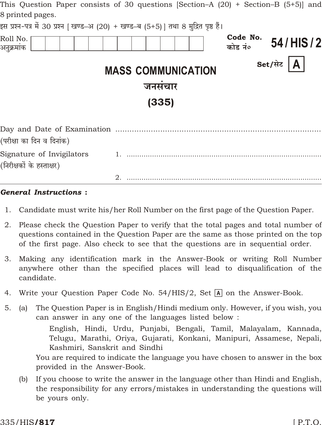|                                                        | This Question Paper consists of 30 questions $\beta$ ection–A $(20)$ + Section–B $(5+)$ and |                     |                |
|--------------------------------------------------------|---------------------------------------------------------------------------------------------|---------------------|----------------|
| 8 printed pages.                                       |                                                                                             |                     |                |
|                                                        | इस प्रश्न-पत्र में 30 प्रश्न [ खण्ड–अ (20) + खण्ड–ब (5+5)] तथा 8 मुद्रित पृष्ठ हैं।         |                     |                |
| Roll No.<br>अनुक्रमांक                                 |                                                                                             | Code No.<br>कोड नं० | 54/HIS/2       |
|                                                        | <b>MASS COMMUNICATION</b>                                                                   |                     | (A)<br>Set/सेट |
|                                                        | जनसंचार                                                                                     |                     |                |
|                                                        | (335)                                                                                       |                     |                |
| (परीक्षा का दिन व दिनांक)                              |                                                                                             |                     |                |
| Signature of Invigilators<br>(निरीक्षकों के हस्ताक्षर) |                                                                                             |                     |                |
|                                                        |                                                                                             |                     |                |

#### **General Instructions:**

- 1. Candidate must write his/her Roll Number on the first page of the Question Paper.
- 2. Please check the Question Paper to verify that the total pages and total number of questions contained in the Question Paper are the same as those printed on the top of the first page. Also check to see that the questions are in sequential order.
- 3. Making any identification mark in the Answer-Book or writing Roll Number anywhere other than the specified places will lead to disqualification of the candidate.
- Write your Question Paper Code No. 54/HIS/2, Set  $\overline{A}$  on the Answer-Book. 4.
- $5<sub>1</sub>$ The Question Paper is in English/Hindi medium only. However, if you wish, you  $(a)$ can answer in any one of the languages listed below:

English, Hindi, Urdu, Punjabi, Bengali, Tamil, Malayalam, Kannada, Telugu, Marathi, Oriya, Gujarati, Konkani, Manipuri, Assamese, Nepali, Kashmiri, Sanskrit and Sindhi

You are required to indicate the language you have chosen to answer in the box provided in the Answer-Book.

If you choose to write the answer in the language other than Hindi and English,  $(b)$ the responsibility for any errors/mistakes in understanding the questions will be yours only.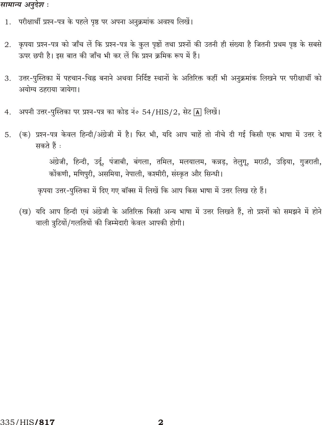### सामान्य अनुदेश :

- 1. परीक्षार्थी प्रश्न-पत्र के पहले पृष्ठ पर अपना अनुक्रमांक अवश्य लिखें।
- कृपया प्रश्न-पत्र को जाँच लें कि प्रश्न-पत्र के कुल पृष्ठों तथा प्रश्नों की उतनी ही संख्या है जितनी प्रथम पृष्ठ के सबसे 2. ऊपर छपी है। इस बात की जाँच भी कर लें कि प्रश्न क्रमिक रूप में हैं।
- उत्तर-पुस्तिका में पहचान-चिह्न बनाने अथवा निर्दिष्ट स्थानों के अतिरिक्त कहीं भी अनुक्रमांक लिखने पर परीक्षार्थी को 3. अयोग्य ठहराया जायेगा।
- अपनी उत्तर-पुस्तिका पर प्रश्न-पत्र का कोड नं० 54/HIS/2, सेट [A] लिखें।  $4.$
- (क) प्रश्न-पत्र केवल हिन्दी/अंग्रेजी में है। फिर भी, यदि आप चाहें तो नीचे दी गई किसी एक भाषा में उत्तर दे 5. सकते हैं :

अंग्रेजी, हिन्दी, उर्दू, पंजाबी, बंगला, तमिल, मलयालम, कन्नड़, तेलुगू, मराठी, उड़िया, गुजराती, कोंकणी, मणिपुरी, असमिया, नेपाली, कश्मीरी, संस्कृत और सिन्धी।

कृपया उत्तर-पुस्तिका में दिए गए बॉक्स में लिखें कि आप किस भाषा में उत्तर लिख रहे हैं।

(ख) यदि आप हिन्दी एवं अंग्रेजी के अतिरिक्त किसी अन्य भाषा में उत्तर लिखते हैं, तो प्रश्नों को समझने में होने वाली त्रुटियों/गलतियों की जिम्मेदारी केवल आपकी होगी।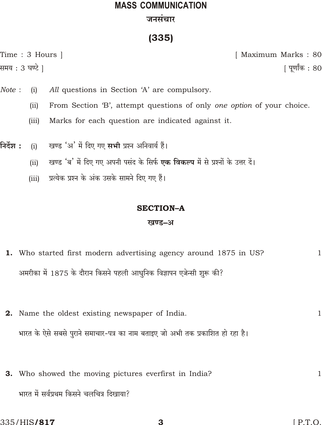# **MASS COMMUNICATION** जनसंचार

# $(335)$

Time: 3 Hours | समय : 3 घण्टे ]

[ Maximum Marks: 80

| पूर्णांक : 80

- Note: All questions in Section 'A' are compulsory.  $(i)$ 
	- From Section 'B', attempt questions of only one option of your choice.  $(ii)$
	- $(iii)$ Marks for each question are indicated against it.
- निर्देश : खण्ड 'अ' में दिए गए सभी प्रश्न अनिवार्य हैं।  $(i)$ 
	- खण्ड 'ब' में दिए गए अपनी पसंद के सिर्फ एक विकल्प में से प्रश्नों के उत्तर दें।  $(ii)$
	- प्रत्येक प्रश्न के अंक उसके सामने दिए गए हैं।  $(iii)$

### **SECTION-A**

#### खण्ड–अ

- 1. Who started first modern advertising agency around 1875 in US? अमरीका में 1875 के दौरान किसने पहली आधुनिक विज्ञापन एजेन्सी शुरू की?
- 2. Name the oldest existing newspaper of India. भारत के ऐसे सबसे पुराने समाचार-पत्र का नाम बताइए जो अभी तक प्रकाशित हो रहा है।
- 3. Who showed the moving pictures everfirst in India?  $\mathbf{1}$ भारत में सर्वप्रथम किसने चलचित्र दिखाया?

 $\mathbf{1}$ 

 $\mathbf{1}$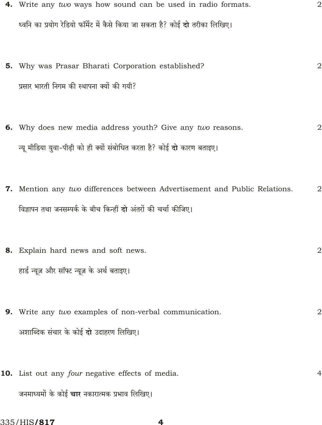- 4. Write any two ways how sound can be used in radio formats.  $\overline{2}$ ध्वनि का प्रयोग रेडियो फॉर्मेट में कैसे किया जा सकता है? कोई दो तरीका लिखिए।
- 5. Why was Prasar Bharati Corporation established?  $\overline{2}$ प्रसार भारती निगम की स्थापना क्यों की गयी?
- 6. Why does new media address youth? Give any two reasons.  $\overline{2}$ न्यू मीडिया युवा-पीढ़ी को ही क्यों संबोधित करता है? कोई दो कारण बताइए।
- 7. Mention any two differences between Advertisement and Public Relations.  $\overline{2}$ विज्ञापन तथा जनसम्पर्क के बीच किन्हीं दो अंतरों की चर्चा कीजिए।
- 8. Explain hard news and soft news.  $\overline{2}$ हार्ड न्यूज़ और सॉफ्ट न्यूज़ के अर्थ बताइए।
- 9. Write any  $two$  examples of non-verbal communication.  $\overline{2}$ अशाब्दिक संचार के कोई दो उदाहरण लिखिए।
- 10. List out any four negative effects of media.  $\overline{4}$ जनमाध्यमों के कोई **चार** नकारात्मक प्रभाव लिखिए।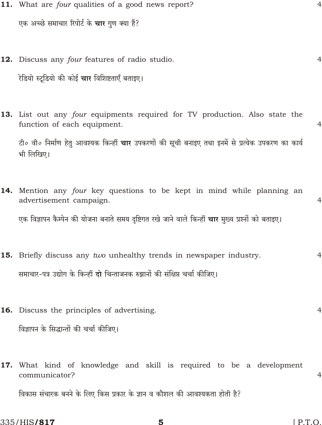- 11. What are four qualities of a good news report? एक अच्छे समाचार रिपोर्ट के **चार** गण क्या हैं?
- 12. Discuss any four features of radio studio. रेडियो स्टूडियो की कोई **चार** विशिष्टताएँ बताइए।
- 13. List out any four equipments required for TV production. Also state the function of each equipment.  $\overline{4}$ टी० वी० निर्माण हेतु आवश्यक किन्हीं **चार** उपकरणों की सूची बनाइए तथा इनमें से प्रत्येक उपकरण का कार्य भी लिखिए।
- 14. Mention any four key questions to be kept in mind while planning an advertisement campaign.  $\overline{4}$ एक विज्ञापन कैम्पेन की योजना बनाते समय दृष्टिगत रखे जाने वाले किन्हीं **चार** मुख्य प्रश्नों को बताइए।
- 15. Briefly discuss any two unhealthy trends in newspaper industry.  $\overline{4}$ समाचार-पत्र उद्योग के किन्हीं दो चिन्ताजनक रुझानों की संक्षिप्त चर्चा कीजिए।
- 16. Discuss the principles of advertising. विज्ञापन के सिद्धान्तों की चर्चा कीजिए।
- 17. What kind of knowledge and skill is required to be a development communicator?  $\overline{4}$ विकास संचारक बनने के लिए किस प्रकार के ज्ञान व कौशल की आवश्यकता होती है?

 $\overline{4}$ 

 $\overline{4}$ 

 $\overline{4}$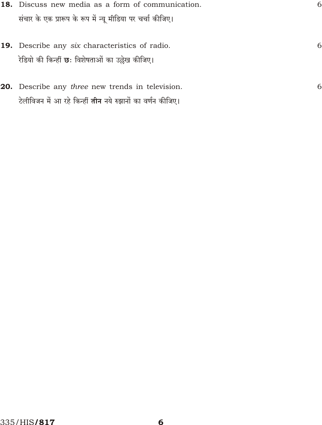| <b>18.</b> Discuss new media as a form of communication.                                                                     | 6 |
|------------------------------------------------------------------------------------------------------------------------------|---|
| संचार के एक प्रारूप के रूप में न्यू मीडिया पर चर्चा कीजिए।                                                                   |   |
| <b>19.</b> Describe any six characteristics of radio.<br>रेडियो की किन्हीं <b>छः</b> विशेषताओं का उल्लेख कीजिए।              | 6 |
| <b>20.</b> Describe any three new trends in television.<br>टेलीविजन में आ रहे किन्हीं <b>तीन</b> नये रुझानों का वर्णन कीजिए। | 6 |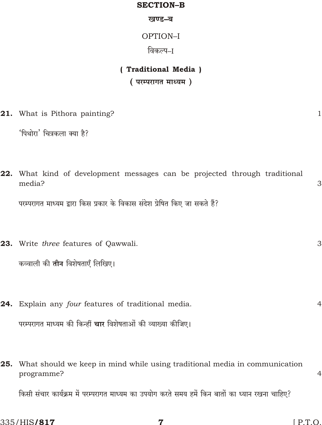#### **SECTION-B**

खण्ड-ब

OPTION-I

विकल्प–ा

## (Traditional Media)

(परम्परागत माध्यम)

21. What is Pithora painting?

'पिथोरा' चित्रकला क्या है?

22. What kind of development messages can be projected through traditional media? 3

परम्परागत माध्यम द्वारा किस प्रकार के विकास संदेश प्रेषित किए जा सकते हैं?

- 23. Write three features of Oawwali. कव्वाली की **तीन** विशेषताएँ लिखिए।
	- 24. Explain any four features of traditional media. परम्परागत माध्यम की किन्हीं **चार** विशेषताओं की व्याख्या कीजिए।
	- 25. What should we keep in mind while using traditional media in communication programme?

किसी संचार कार्यक्रम में परम्परागत माध्यम का उपयोग करते समय हमें किन बातों का ध्यान रखना चाहिए?

 $\mathbf{1}$ 

3

 $\overline{4}$ 

 $\overline{4}$